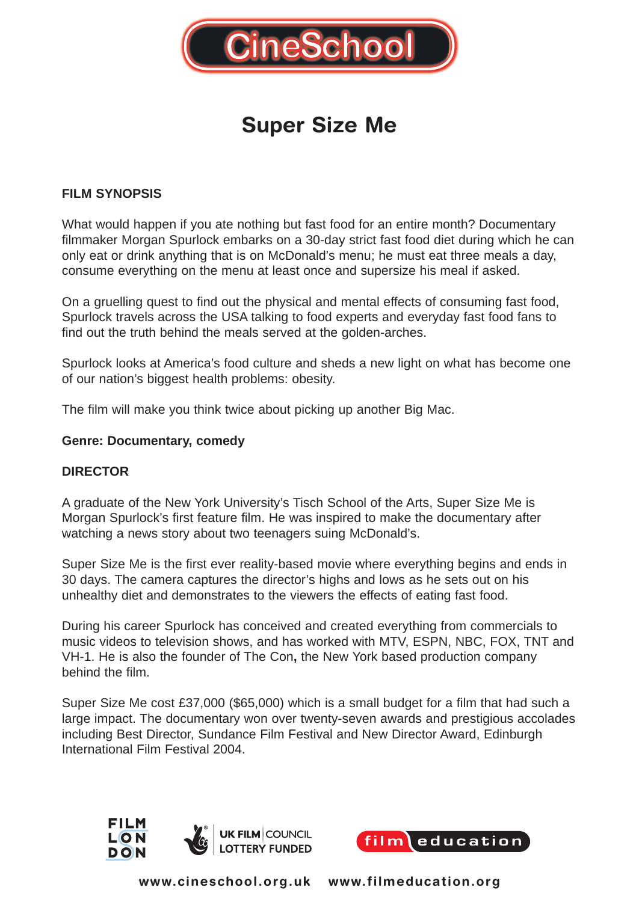

# **Super Size Me**

## **FILM SYNOPSIS**

What would happen if you ate nothing but fast food for an entire month? Documentary filmmaker Morgan Spurlock embarks on a 30-day strict fast food diet during which he can only eat or drink anything that is on McDonald's menu; he must eat three meals a day, consume everything on the menu at least once and supersize his meal if asked.

On a gruelling quest to find out the physical and mental effects of consuming fast food, Spurlock travels across the USA talking to food experts and everyday fast food fans to find out the truth behind the meals served at the golden-arches.

Spurlock looks at America's food culture and sheds a new light on what has become one of our nation's biggest health problems: obesity.

The film will make you think twice about picking up another Big Mac.

#### **Genre: Documentary, comedy**

## **DIRECTOR**

A graduate of the New York University's Tisch School of the Arts, Super Size Me is Morgan Spurlock's first feature film. He was inspired to make the documentary after watching a news story about two teenagers suing McDonald's.

Super Size Me is the first ever reality-based movie where everything begins and ends in 30 days. The camera captures the director's highs and lows as he sets out on his unhealthy diet and demonstrates to the viewers the effects of eating fast food.

During his career Spurlock has conceived and created everything from commercials to music videos to television shows, and has worked with MTV, ESPN, NBC, FOX, TNT and VH-1. He is also the founder of The Con**,** the New York based production company behind the film.

Super Size Me cost £37,000 (\$65,000) which is a small budget for a film that had such a large impact. The documentary won over twenty-seven awards and prestigious accolades including Best Director, Sundance Film Festival and New Director Award, Edinburgh International Film Festival 2004.



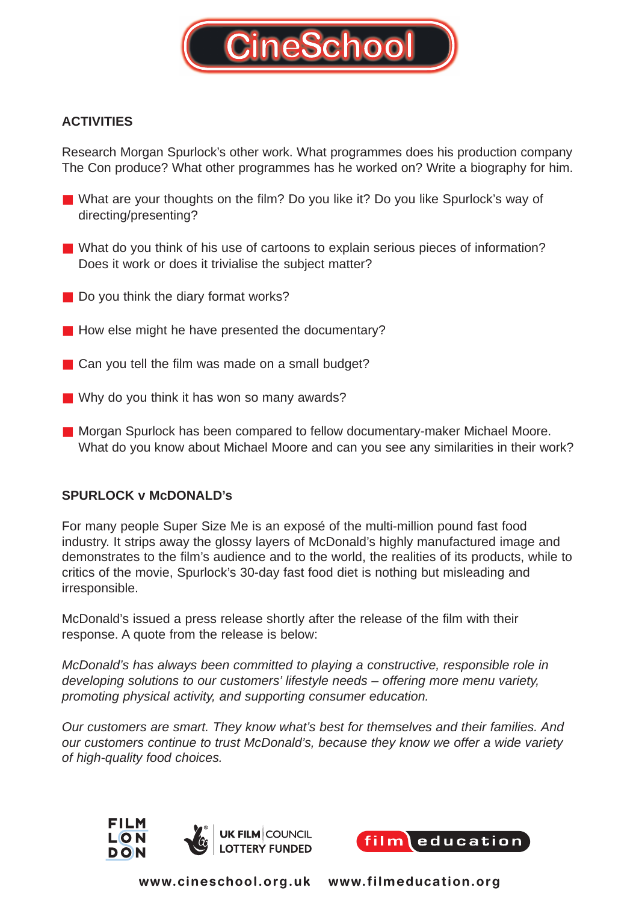

# **ACTIVITIES**

Research Morgan Spurlock's other work. What programmes does his production company The Con produce? What other programmes has he worked on? Write a biography for him.

- What are your thoughts on the film? Do you like it? Do you like Spurlock's way of directing/presenting?
- What do you think of his use of cartoons to explain serious pieces of information? Does it work or does it trivialise the subject matter?
- Do you think the diary format works?
- How else might he have presented the documentary?
- $\blacksquare$  Can you tell the film was made on a small budget?
- Why do you think it has won so many awards?
- Morgan Spurlock has been compared to fellow documentary-maker Michael Moore. What do you know about Michael Moore and can you see any similarities in their work?

## **SPURLOCK v McDONALD's**

For many people Super Size Me is an exposé of the multi-million pound fast food industry. It strips away the glossy layers of McDonald's highly manufactured image and demonstrates to the film's audience and to the world, the realities of its products, while to critics of the movie, Spurlock's 30-day fast food diet is nothing but misleading and irresponsible.

McDonald's issued a press release shortly after the release of the film with their response. A quote from the release is below:

McDonald's has always been committed to playing a constructive, responsible role in developing solutions to our customers' lifestyle needs – offering more menu variety, promoting physical activity, and supporting consumer education.

Our customers are smart. They know what's best for themselves and their families. And our customers continue to trust McDonald's, because they know we offer a wide variety of high-quality food choices.



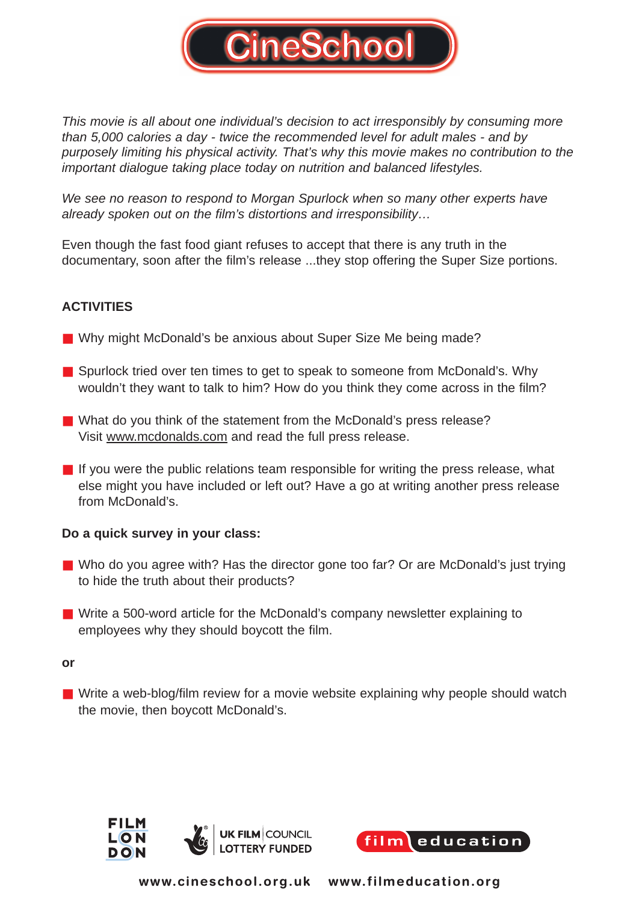

This movie is all about one individual's decision to act irresponsibly by consuming more than 5,000 calories a day - twice the recommended level for adult males - and by purposely limiting his physical activity. That's why this movie makes no contribution to the important dialogue taking place today on nutrition and balanced lifestyles.

We see no reason to respond to Morgan Spurlock when so many other experts have already spoken out on the film's distortions and irresponsibility…

Even though the fast food giant refuses to accept that there is any truth in the documentary, soon after the film's release ...they stop offering the Super Size portions.

# **ACTIVITIES**

- Why might McDonald's be anxious about Super Size Me being made?
- Spurlock tried over ten times to get to speak to someone from McDonald's. Why wouldn't they want to talk to him? How do you think they come across in the film?
- What do you think of the statement from the McDonald's press release? Visit www.mcdonalds.com and read the full press release.
- If you were the public relations team responsible for writing the press release, what else might you have included or left out? Have a go at writing another press release from McDonald's.

## **Do a quick survey in your class:**

- Who do you agree with? Has the director gone too far? Or are McDonald's just trying to hide the truth about their products?
- Write a 500-word article for the McDonald's company newsletter explaining to employees why they should boycott the film.

#### **or**

■ Write a web-blog/film review for a movie website explaining why people should watch the movie, then boycott McDonald's.



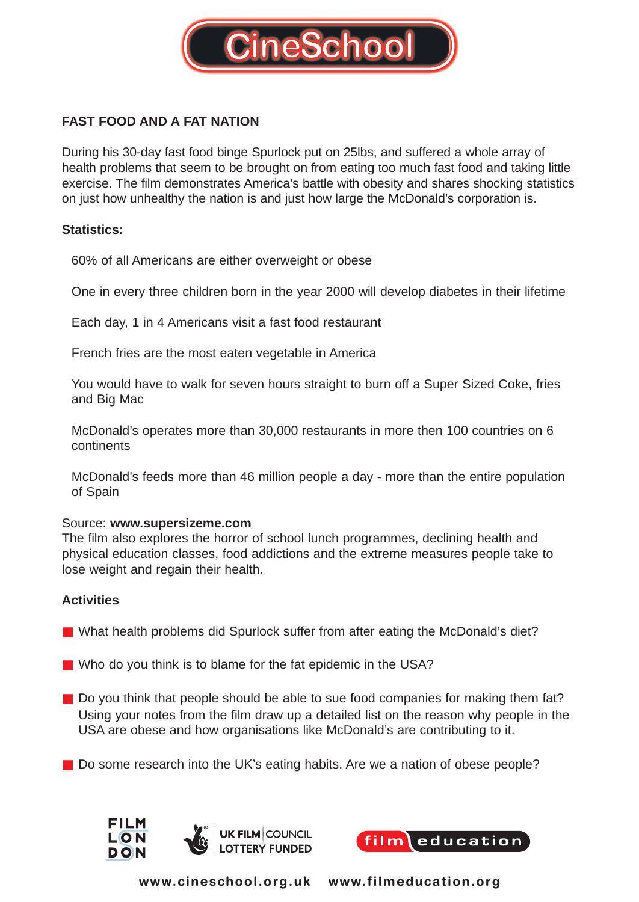

# **FAST FOOD AND A FAT NATION**

During his 30-day fast food binge Spurlock put on 25lbs, and suffered a whole array of health problems that seem to be brought on from eating too much fast food and taking little exercise. The film demonstrates America's battle with obesity and shares shocking statistics on just how unhealthy the nation is and just how large the McDonald's corporation is.

## **Statistics:**

60% of all Americans are either overweight or obese

One in every three children born in the year 2000 will develop diabetes in their lifetime

Each day, 1 in 4 Americans visit a fast food restaurant

French fries are the most eaten vegetable in America

You would have to walk for seven hours straight to burn off a Super Sized Coke, fries and Big Mac

McDonald's operates more than 30,000 restaurants in more then 100 countries on 6 continents

McDonald's feeds more than 46 million people a day - more than the entire population of Spain

#### Source: **www.supersizeme.com**

The film also explores the horror of school lunch programmes, declining health and physical education classes, food addictions and the extreme measures people take to lose weight and regain their health.

## **Activities**

- What health problems did Spurlock suffer from after eating the McDonald's diet?
- Who do you think is to blame for the fat epidemic in the USA?
- Do you think that people should be able to sue food companies for making them fat? Using your notes from the film draw up a detailed list on the reason why people in the USA are obese and how organisations like McDonald's are contributing to it.
- Do some research into the UK's eating habits. Are we a nation of obese people?



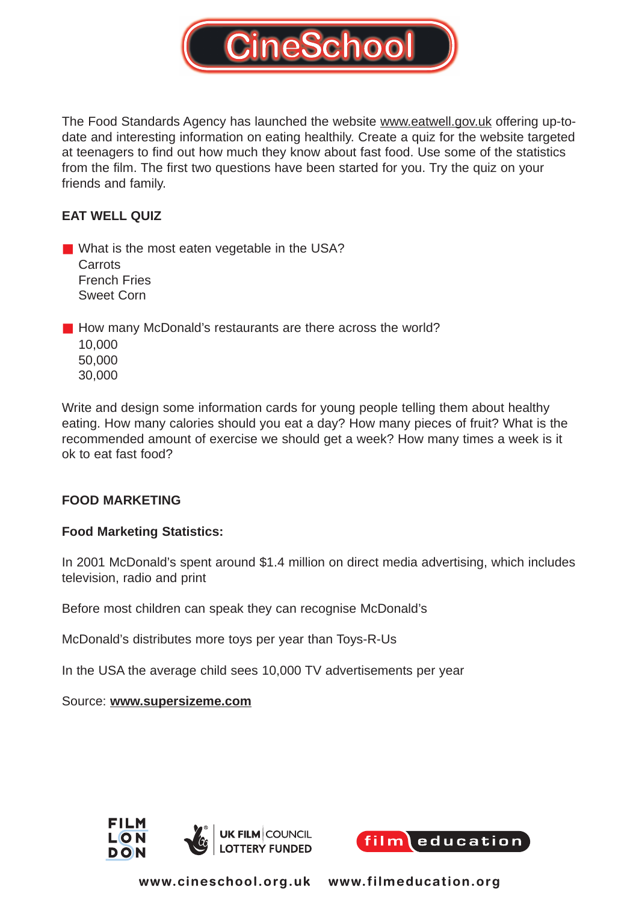

The Food Standards Agency has launched the website www.eatwell.gov.uk offering up-todate and interesting information on eating healthily. Create a quiz for the website targeted at teenagers to find out how much they know about fast food. Use some of the statistics from the film. The first two questions have been started for you. Try the quiz on your friends and family.

# **EAT WELL QUIZ**

■ What is the most eaten vegetable in the USA? **Carrots** French Fries Sweet Corn

■ How many McDonald's restaurants are there across the world? 10,000 50,000 30,000

Write and design some information cards for young people telling them about healthy eating. How many calories should you eat a day? How many pieces of fruit? What is the recommended amount of exercise we should get a week? How many times a week is it ok to eat fast food?

# **FOOD MARKETING**

## **Food Marketing Statistics:**

In 2001 McDonald's spent around \$1.4 million on direct media advertising, which includes television, radio and print

Before most children can speak they can recognise McDonald's

McDonald's distributes more toys per year than Toys-R-Us

In the USA the average child sees 10,000 TV advertisements per year

Source: **www.supersizeme.com**